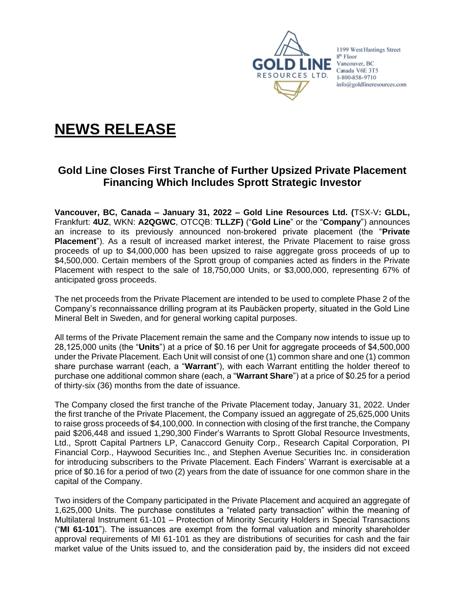

1199 West Hastings Street 8<sup>th</sup> Floor Vancouver, BC Canada V6E 3T5 1-800-858-9710 info@goldlineresources.com

# **NEWS RELEASE**

## **Gold Line Closes First Tranche of Further Upsized Private Placement Financing Which Includes Sprott Strategic Investor**

**Vancouver, BC, Canada – January 31, 2022 – Gold Line Resources Ltd. (**TSX-V**: GLDL,**  Frankfurt: **4UZ**, WKN: **A2QGWC**, OTCQB: **TLLZF)** ("**Gold Line**" or the "**Company**") announces an increase to its previously announced non-brokered private placement (the "**Private Placement**"). As a result of increased market interest, the Private Placement to raise gross proceeds of up to \$4,000,000 has been upsized to raise aggregate gross proceeds of up to \$4,500,000. Certain members of the Sprott group of companies acted as finders in the Private Placement with respect to the sale of 18,750,000 Units, or \$3,000,000, representing 67% of anticipated gross proceeds.

The net proceeds from the Private Placement are intended to be used to complete Phase 2 of the Company's reconnaissance drilling program at its Paubäcken property, situated in the Gold Line Mineral Belt in Sweden, and for general working capital purposes.

All terms of the Private Placement remain the same and the Company now intends to issue up to 28,125,000 units (the "**Units**") at a price of \$0.16 per Unit for aggregate proceeds of \$4,500,000 under the Private Placement. Each Unit will consist of one (1) common share and one (1) common share purchase warrant (each, a "**Warrant**"), with each Warrant entitling the holder thereof to purchase one additional common share (each, a "**Warrant Share**") at a price of \$0.25 for a period of thirty-six (36) months from the date of issuance.

The Company closed the first tranche of the Private Placement today, January 31, 2022. Under the first tranche of the Private Placement, the Company issued an aggregate of 25,625,000 Units to raise gross proceeds of \$4,100,000. In connection with closing of the first tranche, the Company paid \$206,448 and issued 1,290,300 Finder's Warrants to Sprott Global Resource Investments, Ltd., Sprott Capital Partners LP, Canaccord Genuity Corp., Research Capital Corporation, PI Financial Corp., Haywood Securities Inc., and Stephen Avenue Securities Inc. in consideration for introducing subscribers to the Private Placement. Each Finders' Warrant is exercisable at a price of \$0.16 for a period of two (2) years from the date of issuance for one common share in the capital of the Company.

Two insiders of the Company participated in the Private Placement and acquired an aggregate of 1,625,000 Units. The purchase constitutes a "related party transaction" within the meaning of Multilateral Instrument 61-101 – Protection of Minority Security Holders in Special Transactions ("**MI 61-101**"). The issuances are exempt from the formal valuation and minority shareholder approval requirements of MI 61-101 as they are distributions of securities for cash and the fair market value of the Units issued to, and the consideration paid by, the insiders did not exceed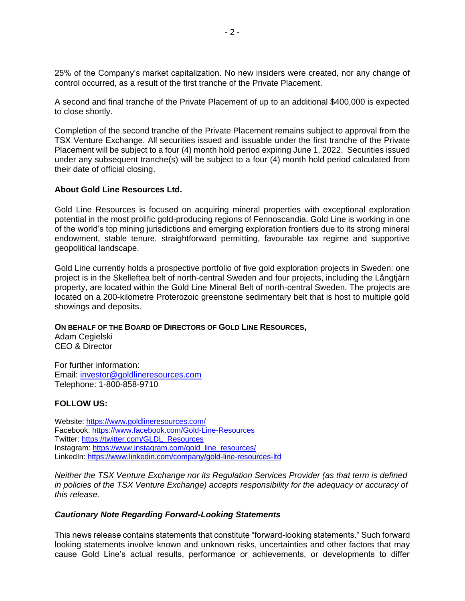25% of the Company's market capitalization. No new insiders were created, nor any change of control occurred, as a result of the first tranche of the Private Placement.

A second and final tranche of the Private Placement of up to an additional \$400,000 is expected to close shortly.

Completion of the second tranche of the Private Placement remains subject to approval from the TSX Venture Exchange. All securities issued and issuable under the first tranche of the Private Placement will be subject to a four (4) month hold period expiring June 1, 2022. Securities issued under any subsequent tranche(s) will be subject to a four (4) month hold period calculated from their date of official closing.

#### **About Gold Line Resources Ltd.**

Gold Line Resources is focused on acquiring mineral properties with exceptional exploration potential in the most prolific gold-producing regions of Fennoscandia. Gold Line is working in one of the world's top mining jurisdictions and emerging exploration frontiers due to its strong mineral endowment, stable tenure, straightforward permitting, favourable tax regime and supportive geopolitical landscape.

Gold Line currently holds a prospective portfolio of five gold exploration projects in Sweden: one project is in the Skelleftea belt of north-central Sweden and four projects, including the Långtjärn property, are located within the Gold Line Mineral Belt of north-central Sweden. The projects are located on a 200-kilometre Proterozoic greenstone sedimentary belt that is host to multiple gold showings and deposits.

#### **ON BEHALF OF THE BOARD OF DIRECTORS OF GOLD LINE RESOURCES,**

Adam Cegielski CEO & Director

For further information: Email: [investor@goldlineresources.com](mailto:investor@goldlineresources.com) Telephone: 1-800-858-9710

### **FOLLOW US:**

Website:<https://www.goldlineresources.com/> Facebook:<https://www.facebook.com/Gold-Line-Resources> Twitter: [https://twitter.com/GLDL\\_Resources](https://twitter.com/GLDL_Resources) Instagram: [https://www.instagram.com/gold\\_line\\_resources/](https://www.instagram.com/gold_line_resources/) LinkedIn: <https://www.linkedin.com/company/gold-line-resources-ltd>

*Neither the TSX Venture Exchange nor its Regulation Services Provider (as that term is defined in policies of the TSX Venture Exchange) accepts responsibility for the adequacy or accuracy of this release.*

#### *Cautionary Note Regarding Forward-Looking Statements*

This news release contains statements that constitute "forward-looking statements." Such forward looking statements involve known and unknown risks, uncertainties and other factors that may cause Gold Line's actual results, performance or achievements, or developments to differ